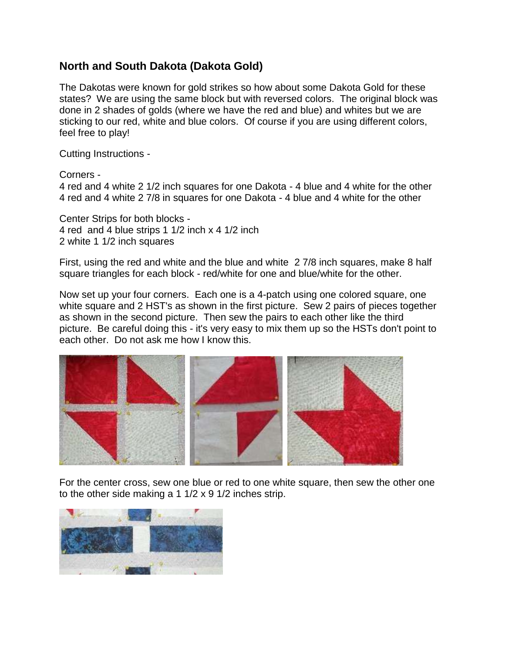## **North and South Dakota (Dakota Gold)**

The Dakotas were known for gold strikes so how about some Dakota Gold for these states? We are using the same block but with reversed colors. The original block was done in 2 shades of golds (where we have the red and blue) and whites but we are sticking to our red, white and blue colors. Of course if you are using different colors, feel free to play!

Cutting Instructions -

Corners -

4 red and 4 white 2 1/2 inch squares for one Dakota - 4 blue and 4 white for the other 4 red and 4 white 2 7/8 in squares for one Dakota - 4 blue and 4 white for the other

Center Strips for both blocks - 4 red and 4 blue strips 1 1/2 inch x 4 1/2 inch 2 white 1 1/2 inch squares

First, using the red and white and the blue and white 2 7/8 inch squares, make 8 half square triangles for each block - red/white for one and blue/white for the other.

Now set up your four corners. Each one is a 4-patch using one colored square, one white square and 2 HST's as shown in the first picture. Sew 2 pairs of pieces together as shown in the second picture. Then sew the pairs to each other like the third picture. Be careful doing this - it's very easy to mix them up so the HSTs don't point to each other. Do not ask me how I know this.



For the center cross, sew one blue or red to one white square, then sew the other one to the other side making a 1 1/2 x 9 1/2 inches strip.